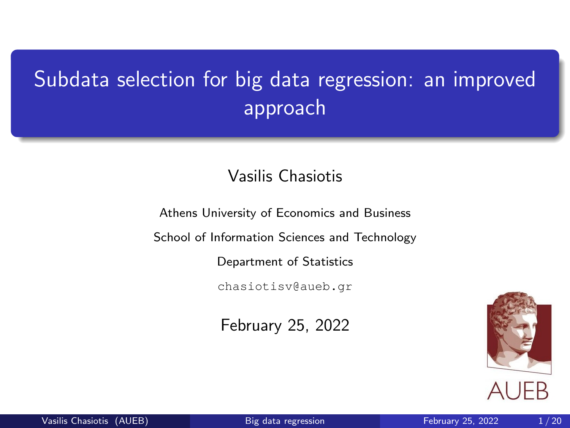# <span id="page-0-5"></span><span id="page-0-4"></span><span id="page-0-3"></span><span id="page-0-2"></span><span id="page-0-0"></span>Subdata selection for big data regression: an improved approach

#### Vasilis Chasiotis

Athens University of Economics and Business

<span id="page-0-1"></span>School of Information Sciences and Technology

Department of Statistics

chasiotisv@aueb.gr

February 25, 2022



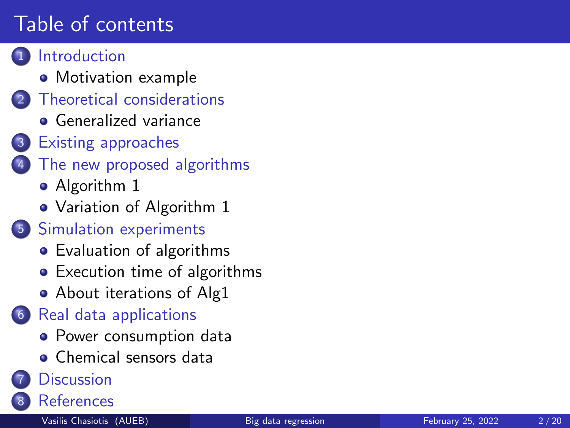# Table of contents

#### **[Introduction](#page-2-0)**

- [Motivation example](#page-4-0)
- **[Theoretical considerations](#page-5-0)** 
	- **•** [Generalized variance](#page-6-0)
- [Existing approaches](#page-7-0)
- [The new proposed algorithms](#page-9-0)
	- [Algorithm 1](#page-9-0)
	- [Variation of Algorithm 1](#page-10-0)
- 5 [Simulation experiments](#page-11-0)
	- [Evaluation of algorithms](#page-11-0)
	- **•** [Execution time of algorithms](#page-13-0)
	- [About iterations of Alg1](#page-15-0)
- 6 [Real data applications](#page-16-0)
	- [Power consumption data](#page-16-0)
	- [Chemical sensors data](#page-17-0)

#### **[Discussion](#page-18-0)**

**[References](#page-19-0)**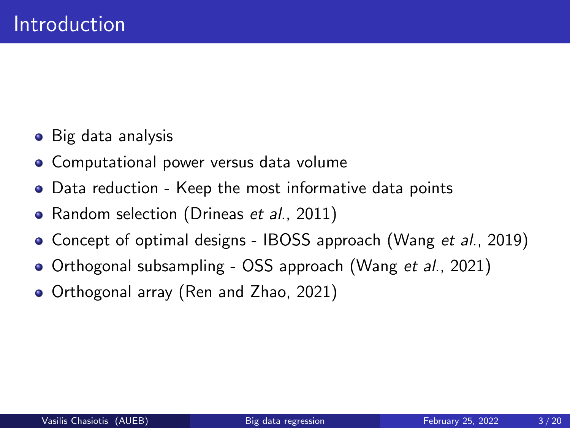- <span id="page-2-0"></span>• Big data analysis
- **Computational power versus data volume**
- Data reduction Keep the most informative data points
- Random selection (Drineas et al., 2011)
- Concept of optimal designs IBOSS approach (Wang *et al.*, 2019)
- Orthogonal subsampling OSS approach (Wang et al., 2021)
- Orthogonal array (Ren and Zhao, 2021)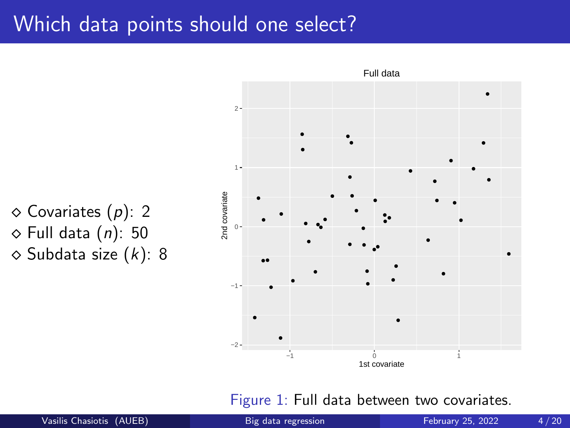#### Which data points should one select?

 $\diamond$  Covariates  $(p)$ : 2  $\diamond$  Full data (n): 50  $\diamond$  Subdata size  $(k)$ : 8



Figure 1: Full data between two covariates.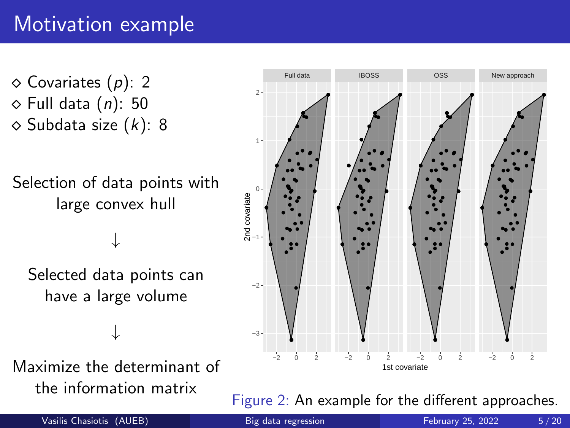## <span id="page-4-0"></span>Motivation example

 $\diamond$  Covariates (p): 2  $\diamond$  Full data  $(n)$ : 50  $\diamond$  Subdata size  $(k)$ : 8

Selection of data points with large convex hull

↓

Selected data points can have a large volume

Maximize the determinant of the information matrix

↓



Figure 2: An example for the different approaches.

Vasilis Chasiotis (AUEB) [Big data regression](#page-0-0) February 25, 2022 5/20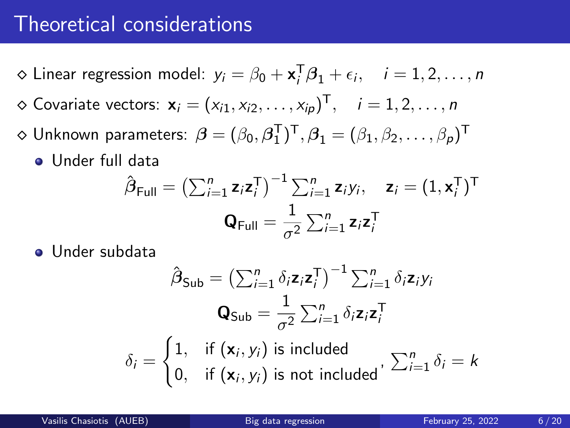#### <span id="page-5-0"></span>Theoretical considerations

- $\diamond$  Linear regression model:  $y_i = \beta_0 + \mathbf{x}_i^T \beta_1 + \epsilon_i, \quad i = 1, 2, \ldots, n$  $\diamond$  Covariate vectors:  $\mathbf{x}_i = (x_{i1}, x_{i2}, \dots, x_{ip})^{\mathsf{T}}, \quad i = 1, 2, \dots, n$
- $\diamond$  Unknown parameters:  $\boldsymbol{\beta}=(\beta_0,\boldsymbol{\beta}_1^{\sf T})^{\sf T}, \boldsymbol{\beta}_1=(\beta_1,\beta_2,\ldots,\beta_p)^{\sf T}$ 
	- Under full data

$$
\hat{\boldsymbol{\beta}}_{\text{Full}} = \left(\sum_{i=1}^{n} \mathbf{z}_{i} \mathbf{z}_{i}^{\text{T}}\right)^{-1} \sum_{i=1}^{n} \mathbf{z}_{i} y_{i}, \quad \mathbf{z}_{i} = (1, \mathbf{x}_{i}^{\text{T}})^{\text{T}}
$$

$$
\mathbf{Q}_{\text{Full}} = \frac{1}{\sigma^{2}} \sum_{i=1}^{n} \mathbf{z}_{i} \mathbf{z}_{i}^{\text{T}}
$$

Under subdata

$$
\hat{\beta}_{\mathsf{Sub}} = \left(\sum_{i=1}^{n} \delta_{i} \mathbf{z}_{i} \mathbf{z}_{i}^{\mathsf{T}}\right)^{-1} \sum_{i=1}^{n} \delta_{i} \mathbf{z}_{i} y_{i}
$$
\n
$$
\mathbf{Q}_{\mathsf{Sub}} = \frac{1}{\sigma^{2}} \sum_{i=1}^{n} \delta_{i} \mathbf{z}_{i} \mathbf{z}_{i}^{\mathsf{T}}
$$
\n
$$
\delta_{i} = \begin{cases}\n1, & \text{if } (\mathbf{x}_{i}, y_{i}) \text{ is included} \\
0, & \text{if } (\mathbf{x}_{i}, y_{i}) \text{ is not included}\n\end{cases}, \sum_{i=1}^{n} \delta_{i} = k
$$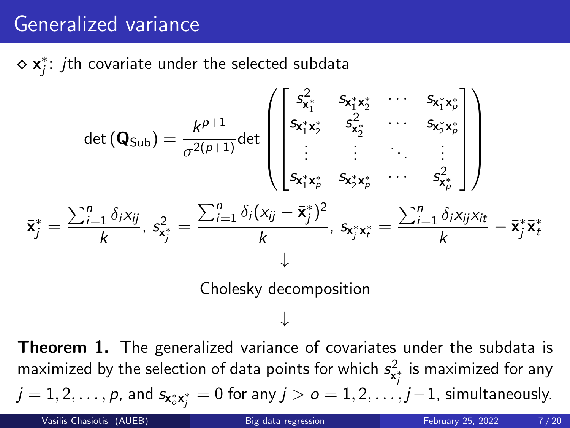### <span id="page-6-0"></span>Generalized variance

 $\diamond$   $\mathbf{x}_j^*$ :  $j$ th covariate under the selected subdata

$$
\det (\mathbf{Q}_{\text{Sub}}) = \frac{k^{p+1}}{\sigma^{2(p+1)}} \det \begin{pmatrix} s_{x_1^*}^2 & s_{x_1^*x_2^*} & \cdots & s_{x_1^*x_p^*} \\ s_{x_1^*x_2^*} & s_{x_2^*}^2 & \cdots & s_{x_2^*x_p^*} \\ \vdots & \vdots & \ddots & \vdots \\ s_{x_1^*x_p^*} & s_{x_2^*x_p^*} & \cdots & s_{x_p^*}^2 \end{pmatrix}
$$

$$
\bar{\mathbf{x}}_j^* = \frac{\sum_{i=1}^n \delta_i x_{ij}}{k}, \quad s_{x_j^*}^2 = \frac{\sum_{i=1}^n \delta_i (x_{ij} - \bar{\mathbf{x}}_j^*)^2}{k}, \quad s_{x_j^*x_t^*} = \frac{\sum_{i=1}^n \delta_i x_{ij} x_{it}}{k} - \bar{\mathbf{x}}_j^* \bar{\mathbf{x}}_t^* + \downarrow
$$
  
Cholesky decomposition

**Theorem 1.** The generalized variance of covariates under the subdata is maximized by the selection of data points for which  $s_{\mathsf{x}_j^{\star}}^2$  is maximized for any  $j=1,2,\ldots,p$ , and  $\mathsf{s}_{\mathsf{x}_o^*\mathsf{x}_j^*}=0$  for any  $j>o=1,2,\ldots,j-1,$  simultaneously. Vasilis Chasiotis (AUEB) [Big data regression](#page-0-0) February 25, 2022 7/20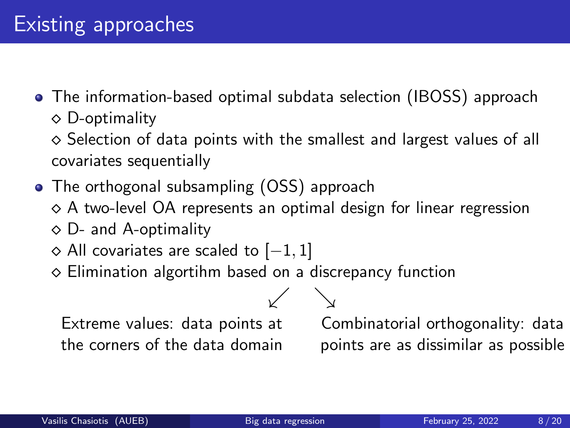<span id="page-7-0"></span>The information-based optimal subdata selection (IBOSS) approach  $\diamond$  D-optimality

 $\diamond$  Selection of data points with the smallest and largest values of all covariates sequentially

- The orthogonal subsampling (OSS) approach
	- ◇ A two-level OA represents an optimal design for linear regression

 $\searrow$ 

- $\diamond$  D- and A-optimality
- $\diamond$  All covariates are scaled to  $[-1, 1]$
- $\diamond$  Elimination algortihm based on a discrepancy function

Extreme values: data points at the corners of the data domain

Combinatorial orthogonality: data points are as dissimilar as possible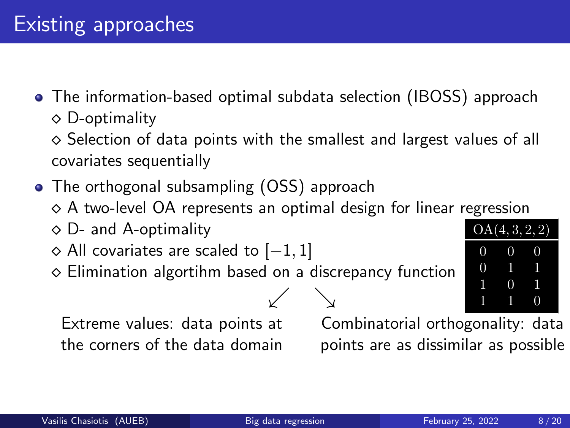The information-based optimal subdata selection (IBOSS) approach  $\diamond$  D-optimality

 $\diamond$  Selection of data points with the smallest and largest values of all covariates sequentially

- The orthogonal subsampling (OSS) approach
	- $\diamond$  A two-level OA represents an optimal design for linear regression

↙ ↘

- $\diamond$  D- and A-optimality
- $\diamond$  All covariates are scaled to  $[-1, 1]$
- $\diamond$  Elimination algortihm based on a discrepancy function

Extreme values: data points at the corners of the data domain

Combinatorial orthogonality: data points are as dissimilar as possible

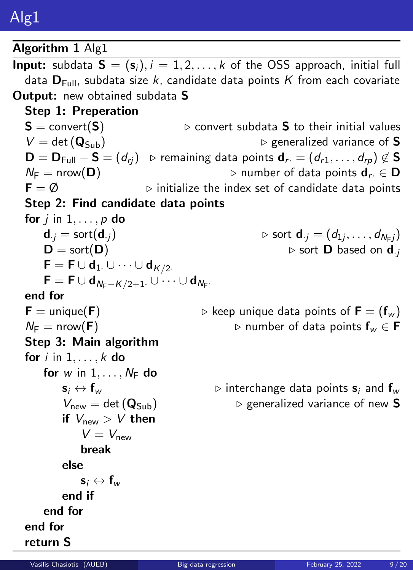<span id="page-9-0"></span>Algorithm 1 Alg1 **Input:** subdata  $S = (s_i)$ ,  $i = 1, 2, ..., k$  of the OSS approach, initial full data  $D_{\text{Full}}$ , subdata size k, candidate data points K from each covariate **Output:** new obtained subdata S Step 1: Preperation  $S =$  convert(S)  $\triangleright$  convert subdata S to their initial values  $V = det(Q_{Sub})$   $\triangleright$  generalized variance of S  $\mathbf{D} = \mathbf{D}_{\text{Full}} - \mathbf{S} = (d_{ri})$   $\triangleright$  remaining data points  $\mathbf{d}_{r} = (d_{r1}, \ldots, d_{rp}) \notin \mathbf{S}$ N<sup>F</sup> = nrow(D) ▷ number of data points dr· ∈ D  $F = \emptyset$  > initialize the index set of candidate data points Step 2: Find candidate data points for  $j$  in  $1, \ldots, p$  do  $\mathbf{d}_{\cdot j} = \mathsf{sort}(\mathbf{d}_{\cdot j}) \qquad \qquad \triangleright \mathsf{sort} \; \mathbf{d}_{\cdot j} = (d_{1j}, \ldots, d_{N_{\mathsf{F}} j})$  $D = sort(D)$   $\triangleright$  sort D based on d<sub>·j</sub>  $\mathsf{F} = \mathsf{F} \cup \mathsf{d}_1 \cup \cdots \cup \mathsf{d}_{K/2}.$  $\mathsf{F} = \mathsf{F} \cup \mathsf{d}_{N_{\mathsf{F}}-K/2+1}$ .  $\cup \cdots \cup \mathsf{d}_{N_{\mathsf{F}}}.$ end for  $\mathsf{F} =$  unique( $\mathsf{F}$ )  $\Rightarrow$  keep unique data points of  $\mathsf{F} = (\mathsf{f}_w)$ N<sup>F</sup> = nrow(F) ▷ number of data points f<sup>w</sup> ∈ F Step 3: Main algorithm for  $i$  in  $1, \ldots, k$  do for w in  $1, \ldots, N_F$  do  $s_i \leftrightarrow f_w$   $\triangleright$  interchange data points  $s_i$  and  $f_w$  $V_{new} = det(Q_{Sub})$   $\triangleright$  generalized variance of new **S** if  $V_{\text{new}} > V$  then  $V = V_{\text{new}}$ break else  $s_i \leftrightarrow f_w$ end if end for end for

return S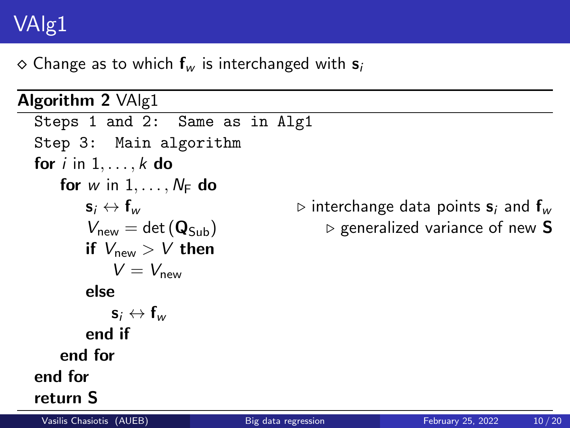# <span id="page-10-0"></span>VAlg1

 $\Diamond$  Change as to which  $f_w$  is interchanged with  $s_i$ 

Algorithm 2 VAlg1 Steps 1 and 2: Same as in Alg1 Step 3: Main algorithm for  $i$  in  $1, \ldots, k$  do for w in  $1, \ldots, N_F$  do  $s_i \leftrightarrow f_w$   $\triangleright$  interchange data points  $s_i$  and  $f_w$  $V_{\text{new}} = \det (\mathbf{Q}_{\text{Sub}})$   $\triangleright$  generalized variance of new **S** if  $V_{\text{new}} > V$  then  $V = V_{\text{new}}$ else  $s_i \leftrightarrow f_w$ end if end for end for return S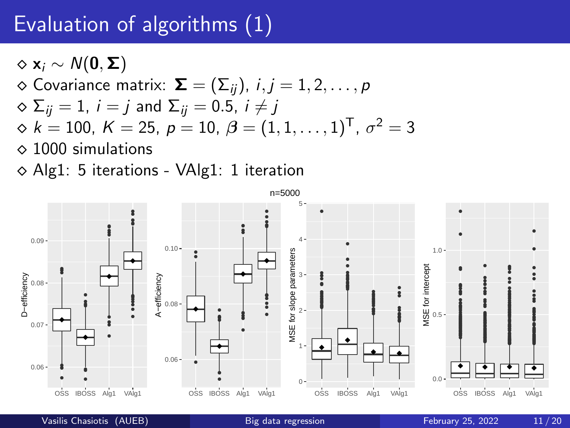### <span id="page-11-0"></span>Evaluation of algorithms (1)

 $\Diamond$  x<sub>i</sub>  $\sim N(0, \Sigma)$  $\diamond$  Covariance matrix:  $\boldsymbol{\Sigma} = (\Sigma_{ii}), i,j = 1,2,\ldots,p$  $\infty \Sigma_{ii} = 1$ ,  $i = j$  and  $\Sigma_{ii} = 0.5$ ,  $i \neq j$  $\diamond k=100,\ K=25,\ p=10,\ \beta=(1,1,\ldots,1)^{\mathsf{T}},\ \sigma^2=3$  $\diamond$  1000 simulations

 $\diamond$  Alg1: 5 iterations - VAlg1: 1 iteration

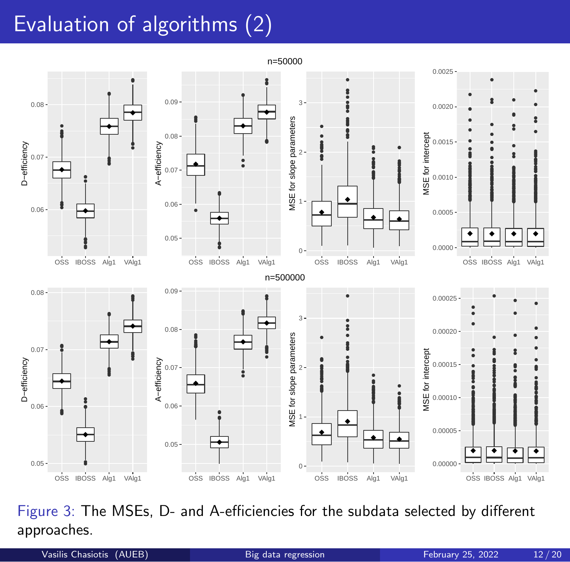# Evaluation of algorithms (2)



Figure 3: The MSEs, D- and A-efficiencies for the subdata selected by different approaches.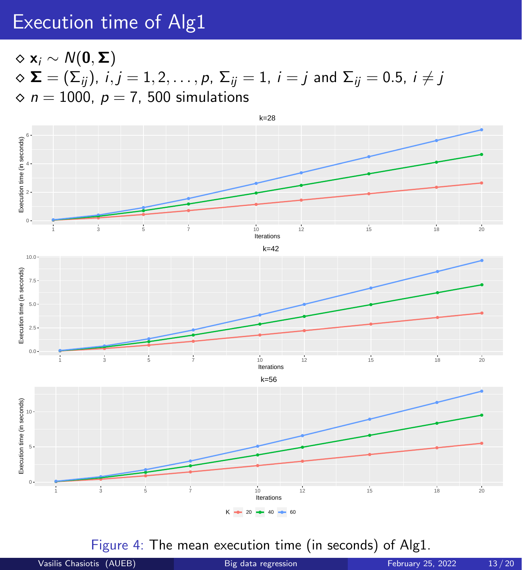#### <span id="page-13-0"></span>Execution time of Alg1

 $\diamond x_i \sim N(0, \Sigma)$  $\infty$   $\Sigma = (\Sigma_{ij})$ ,  $i, j = 1, 2, \ldots, p$ ,  $\Sigma_{ij} = 1$ ,  $i = j$  and  $\Sigma_{ij} = 0.5$ ,  $i \neq j$  $\Diamond n = 1000$ ,  $p = 7$ , 500 simulations



Figure 4: The mean execution time (in seconds) of Alg1.

Vasilis Chasiotis (AUEB) [Big data regression](#page-0-3) February 25, 2022 13/20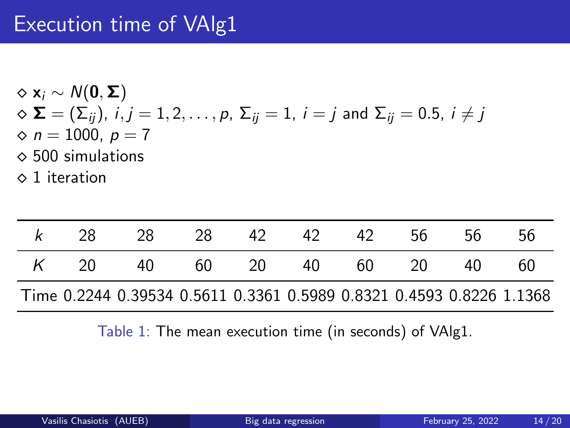### Execution time of VAlg1

$$
\diamond \mathbf{x}_i \sim N(\mathbf{0}, \boldsymbol{\Sigma})
$$
  
\n
$$
\diamond \boldsymbol{\Sigma} = (\Sigma_{ij}), i, j = 1, 2, ..., p, \Sigma_{ij} = 1, i = j \text{ and } \Sigma_{ij} = 0.5, i \neq j
$$
  
\n
$$
\diamond n = 1000, p = 7
$$

- $\diamond$  500 simulations
- $\diamond$  1 iteration

| -28. | -28                                                                  | -28 | - 42  | 42. | 42   | .56 | .56 | 56 |
|------|----------------------------------------------------------------------|-----|-------|-----|------|-----|-----|----|
| K 20 | 40                                                                   |     | 60 20 | 40  | 60 — | 20  | 40  | 60 |
|      | Time 0.2244 0.39534 0.5611 0.3361 0.5989 0.8321 0.4593 0.8226 1.1368 |     |       |     |      |     |     |    |

Table 1: The mean execution time (in seconds) of VAlg1.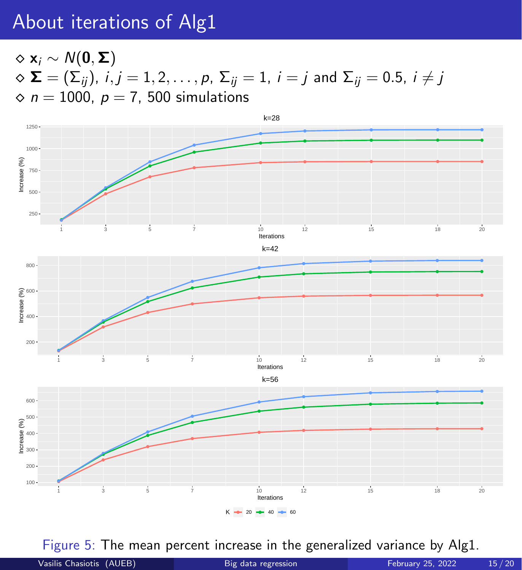### <span id="page-15-0"></span>About iterations of Alg1

 $\Diamond$  x<sub>i</sub>  $\sim N(0, \Sigma)$  $\infty$   $\Sigma = (\Sigma_{ij})$ ,  $i, j = 1, 2, \ldots, p$ ,  $\Sigma_{ij} = 1$ ,  $i = j$  and  $\Sigma_{ij} = 0.5$ ,  $i \neq j$  $\Diamond n = 1000$ ,  $p = 7$ , 500 simulations



Figure 5: The mean percent increase in the generalized variance by Alg1.

| Vasilis Chasiotis (AUEB) | Big data regression | <b>February 25, 2022</b> | 15/20 |
|--------------------------|---------------------|--------------------------|-------|
|--------------------------|---------------------|--------------------------|-------|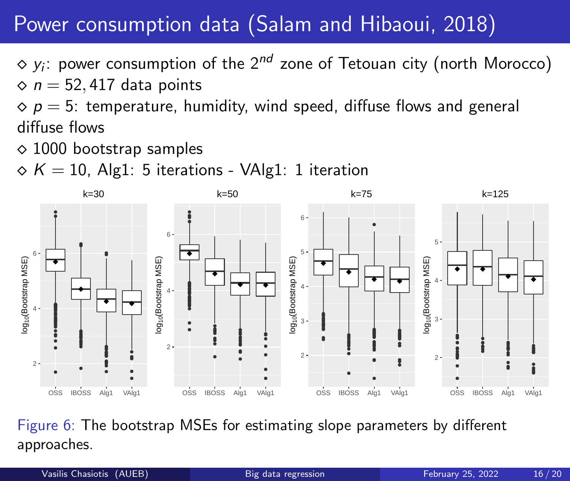## <span id="page-16-0"></span>Power consumption data (Salam and Hibaoui, 2018)

 $\diamond$   $y_i$ : power consumption of the  $2^{nd}$  zone of Tetouan city (north Morocco)  $\Diamond$  n = 52, 417 data points

 $\circ$  p = 5: temperature, humidity, wind speed, diffuse flows and general diffuse flows

 $\Diamond$  1000 bootstrap samples

 $\Diamond K = 10$ , Alg1: 5 iterations - VAlg1: 1 iteration



Figure 6: The bootstrap MSEs for estimating slope parameters by different approaches.

Vasilis Chasiotis (AUEB) [Big data regression](#page-0-4) February 25, 2022 16/20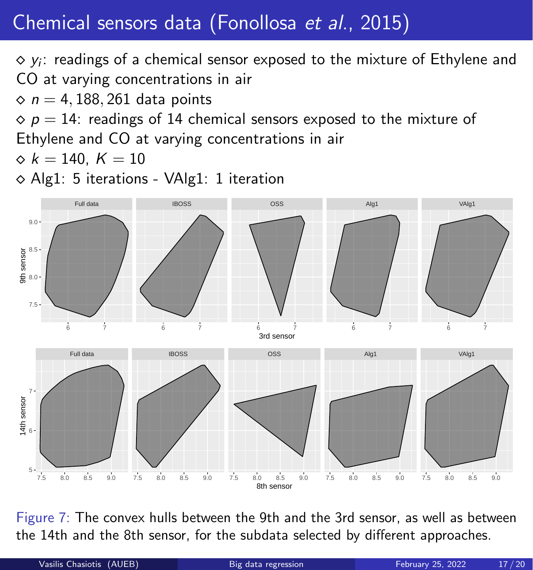# <span id="page-17-0"></span>Chemical sensors data (Fonollosa et al., 2015)

 $\diamond$   $y_i$ : readings of a chemical sensor exposed to the mixture of Ethylene and CO at varying concentrations in air

 $\diamond$  n = 4, 188, 261 data points

 $\circ$  p = 14: readings of 14 chemical sensors exposed to the mixture of

Ethylene and CO at varying concentrations in air

 $\diamond k = 140, K = 10$ 

⋄ Alg1: 5 iterations - VAlg1: 1 iteration



Figure 7: The convex hulls between the 9th and the 3rd sensor, as well as between the 14th and the 8th sensor, for the subdata selected by different approaches.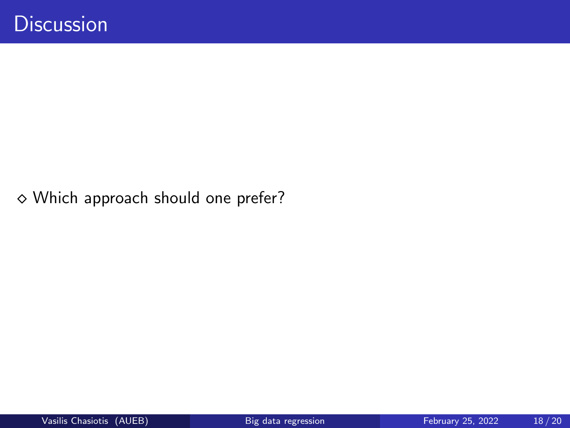<span id="page-18-0"></span>⋄ Which approach should one prefer?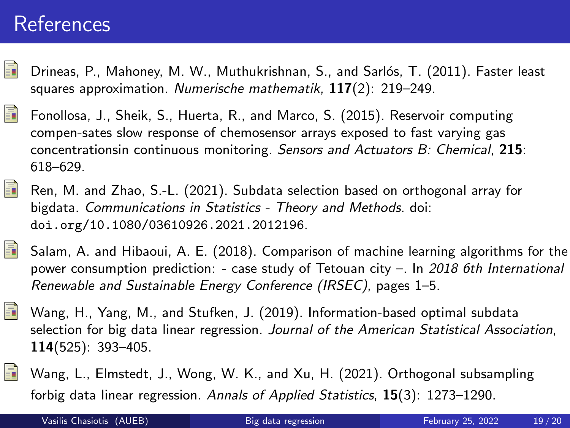#### <span id="page-19-0"></span>References

- F Drineas, P., Mahoney, M. W., Muthukrishnan, S., and Sarlós, T. (2011). Faster least squares approximation. Numerische mathematik,  $117(2)$ : 219-249.
- F Fonollosa, J., Sheik, S., Huerta, R., and Marco, S. (2015). Reservoir computing compen-sates slow response of chemosensor arrays exposed to fast varying gas concentrationsin continuous monitoring. Sensors and Actuators B: Chemical, 215: 618–629.
- F Ren, M. and Zhao, S.-L. (2021). Subdata selection based on orthogonal array for bigdata. Communications in Statistics - Theory and Methods. doi: <doi.org/10.1080/03610926.2021.2012196>.



F

- Salam, A. and Hibaoui, A. E. (2018). Comparison of machine learning algorithms for the power consumption prediction: - case study of Tetouan city  $-$ . In 2018 6th International Renewable and Sustainable Energy Conference (IRSEC), pages 1–5.
- F Wang, H., Yang, M., and Stufken, J. (2019). Information-based optimal subdata selection for big data linear regression. Journal of the American Statistical Association, 114(525): 393–405.
	- Wang, L., Elmstedt, J., Wong, W. K., and Xu, H. (2021). Orthogonal subsampling forbig data linear regression. Annals of Applied Statistics, 15(3): 1273–1290.